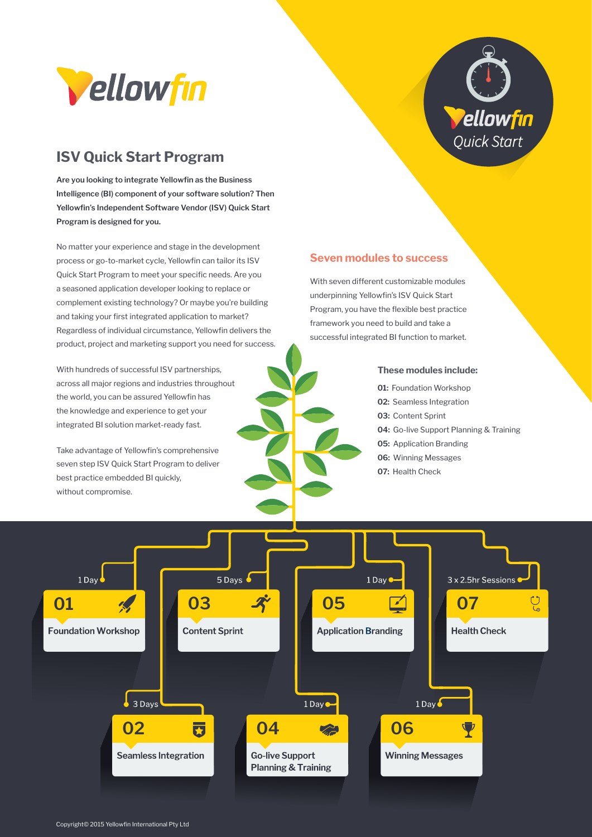

## **ISV Quick Start Program**

**Are you looking to integrate Yellowfin as the Business Intelligence (BI) component of your software solution? Then Yellowfin's Independent Software Vendor (ISV) Quick Start Program is designed for you.**

No matter your experience and stage in the development process or go-to-market cycle, Yellowfin can tailor its ISV Quick Start Program to meet your specific needs. Are you a seasoned application developer looking to replace or complement existing technology? Or maybe you're building and taking your first integrated application to market? Regardless of individual circumstance, Yellowfin delivers the product, project and marketing support you need for success.

With hundreds of successful ISV partnerships. across all major regions and industries throughout the world, you can be assured Yellowfin has the knowledge and experience to get your integrated BI solution market-ready fast.

Take advantage of Yellowfin's comprehensive seven step ISV Quick Start Program to deliver best practice embedded BI quickly, without compromise.

# Vellowfin Quick Start

#### **Seven modules to success**

With seven different customizable modules underpinning Yellowfin's ISV Quick Start Program, you have the flexible best practice framework you need to build and take a successful integrated BI function to market.

#### **These modules include:**

**01:** Foundation Workshop

- **02:** Seamless Integration
- **03:** Content Sprint
- **04:** Go-live Support Planning & Training
- **05:** Application Branding
- **06:** Winning Messages
- **07:** Health Check